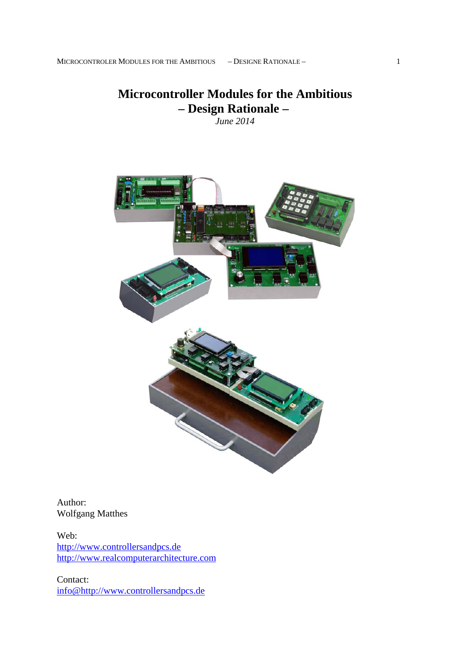# **Microcontroller Modules for the Ambitious – Design Rationale –**  *June 2014*

Author: Wolfgang Matthes

Web: http://www.controllersandpcs.de http://www.realcomputerarchitecture.com

Contact: info@http://www.controllersandpcs.de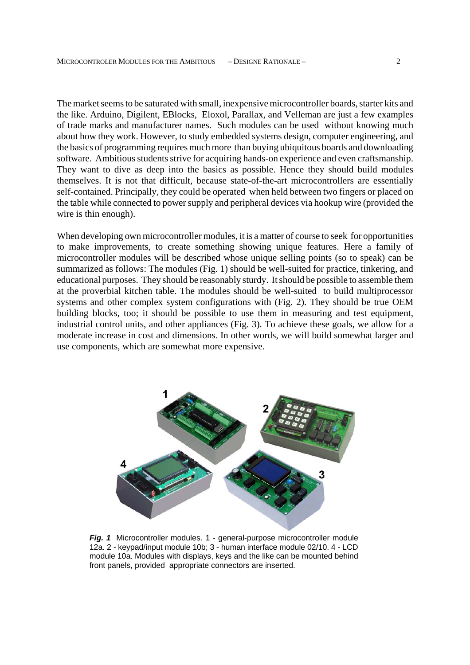The market seems to be saturated with small, inexpensive microcontroller boards, starter kits and the like. Arduino, Digilent, EBlocks, Eloxol, Parallax, and Velleman are just a few examples of trade marks and manufacturer names. Such modules can be used without knowing much about how they work. However, to study embedded systems design, computer engineering, and the basics of programming requires much more than buying ubiquitous boards and downloading software. Ambitious students strive for acquiring hands-on experience and even craftsmanship. They want to dive as deep into the basics as possible. Hence they should build modules themselves. It is not that difficult, because state-of-the-art microcontrollers are essentially self-contained. Principally, they could be operated when held between two fingers or placed on the table while connected to power supply and peripheral devices via hookup wire (provided the wire is thin enough).

When developing own microcontroller modules, it is a matter of course to seek for opportunities to make improvements, to create something showing unique features. Here a family of microcontroller modules will be described whose unique selling points (so to speak) can be summarized as follows: The modules (Fig. 1) should be well-suited for practice, tinkering, and educational purposes. They should be reasonably sturdy. It should be possible to assemble them at the proverbial kitchen table. The modules should be well-suited to build multiprocessor systems and other complex system configurations with (Fig. 2). They should be true OEM building blocks, too; it should be possible to use them in measuring and test equipment, industrial control units, and other appliances (Fig. 3). To achieve these goals, we allow for a moderate increase in cost and dimensions. In other words, we will build somewhat larger and use components, which are somewhat more expensive.



*Fig. 1* Microcontroller modules. 1 - general-purpose microcontroller module 12a. 2 - keypad/input module 10b; 3 - human interface module 02/10. 4 - LCD module 10a. Modules with displays, keys and the like can be mounted behind front panels, provided appropriate connectors are inserted.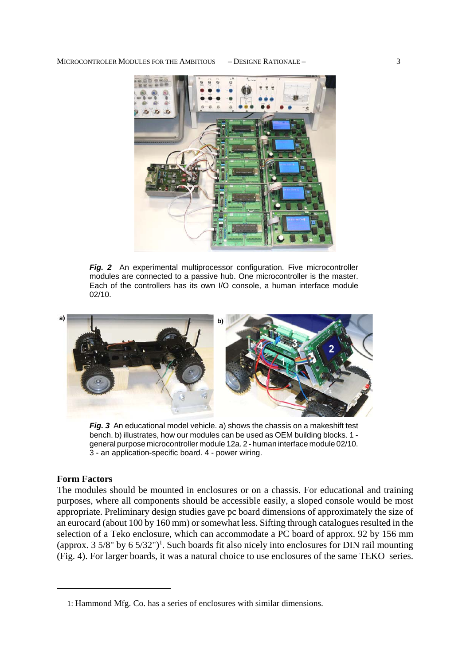

*Fig. 2* An experimental multiprocessor configuration. Five microcontroller modules are connected to a passive hub. One microcontroller is the master. Each of the controllers has its own I/O console, a human interface module 02/10.



*Fig.* 3 An educational model vehicle. a) shows the chassis on a makeshift test bench. b) illustrates, how our modules can be used as OEM building blocks. 1 general purpose microcontroller module 12a. 2 - human interface module 02/10. 3 - an application-specific board. 4 - power wiring.

## **Form Factors**

The modules should be mounted in enclosures or on a chassis. For educational and training purposes, where all components should be accessible easily, a sloped console would be most appropriate. Preliminary design studies gave pc board dimensions of approximately the size of an eurocard (about 100 by 160 mm) or somewhat less. Sifting through catalogues resulted in the selection of a Teko enclosure, which can accommodate a PC board of approx. 92 by 156 mm (approx.  $3\frac{5}{8}$ " by  $6\frac{5}{32}$ ")<sup>1</sup>. Such boards fit also nicely into enclosures for DIN rail mounting (Fig. 4). For larger boards, it was a natural choice to use enclosures of the same TEKO series.

<sup>1:</sup> Hammond Mfg. Co. has a series of enclosures with similar dimensions.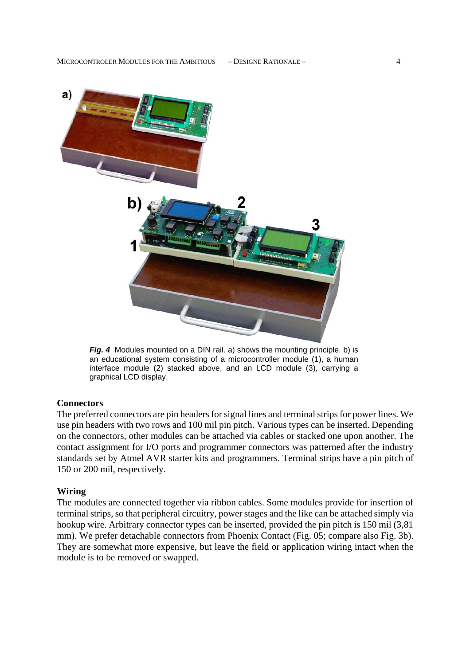

*Fig. 4* Modules mounted on a DIN rail. a) shows the mounting principle. b) is an educational system consisting of a microcontroller module (1), a human interface module (2) stacked above, and an LCD module (3), carrying a graphical LCD display.

## **Connectors**

The preferred connectors are pin headers for signal lines and terminal strips for power lines. We use pin headers with two rows and 100 mil pin pitch. Various types can be inserted. Depending on the connectors, other modules can be attached via cables or stacked one upon another. The contact assignment for I/O ports and programmer connectors was patterned after the industry standards set by Atmel AVR starter kits and programmers. Terminal strips have a pin pitch of 150 or 200 mil, respectively.

## **Wiring**

The modules are connected together via ribbon cables. Some modules provide for insertion of terminal strips, so that peripheral circuitry, power stages and the like can be attached simply via hookup wire. Arbitrary connector types can be inserted, provided the pin pitch is 150 mil (3,81 mm). We prefer detachable connectors from Phoenix Contact (Fig. 05; compare also Fig. 3b). They are somewhat more expensive, but leave the field or application wiring intact when the module is to be removed or swapped.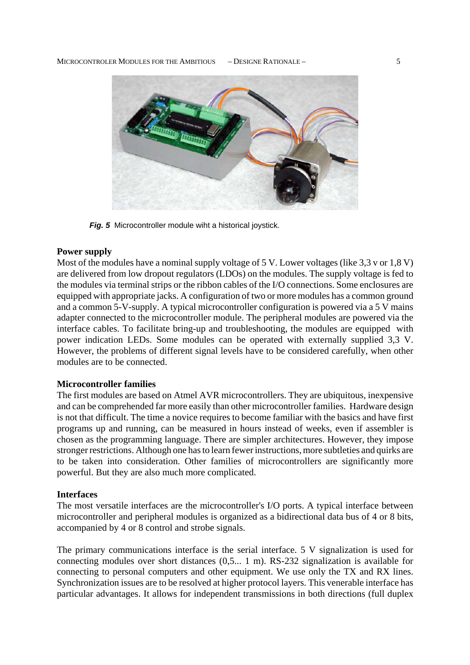#### MICROCONTROLER MODULES FOR THE AMBITIOUS – DESIGNE RATIONALE – 5



*Fig. 5* Microcontroller module wiht a historical joystick.

## **Power supply**

Most of the modules have a nominal supply voltage of 5 V. Lower voltages (like 3,3 v or 1,8 V) are delivered from low dropout regulators (LDOs) on the modules. The supply voltage is fed to the modules via terminal strips or the ribbon cables of the I/O connections. Some enclosures are equipped with appropriate jacks. A configuration of two or more modules has a common ground and a common 5-V-supply. A typical microcontroller configuration is powered via a 5 V mains adapter connected to the microcontroller module. The peripheral modules are powered via the interface cables. To facilitate bring-up and troubleshooting, the modules are equipped with power indication LEDs. Some modules can be operated with externally supplied 3,3 V. However, the problems of different signal levels have to be considered carefully, when other modules are to be connected.

## **Microcontroller families**

The first modules are based on Atmel AVR microcontrollers. They are ubiquitous, inexpensive and can be comprehended far more easily than other microcontroller families. Hardware design is not that difficult. The time a novice requires to become familiar with the basics and have first programs up and running, can be measured in hours instead of weeks, even if assembler is chosen as the programming language. There are simpler architectures. However, they impose stronger restrictions. Although one has to learn fewer instructions, more subtleties and quirks are to be taken into consideration. Other families of microcontrollers are significantly more powerful. But they are also much more complicated.

#### **Interfaces**

The most versatile interfaces are the microcontroller's I/O ports. A typical interface between microcontroller and peripheral modules is organized as a bidirectional data bus of 4 or 8 bits, accompanied by 4 or 8 control and strobe signals.

The primary communications interface is the serial interface. 5 V signalization is used for connecting modules over short distances (0,5... 1 m). RS-232 signalization is available for connecting to personal computers and other equipment. We use only the TX and RX lines. Synchronization issues are to be resolved at higher protocol layers. This venerable interface has particular advantages. It allows for independent transmissions in both directions (full duplex